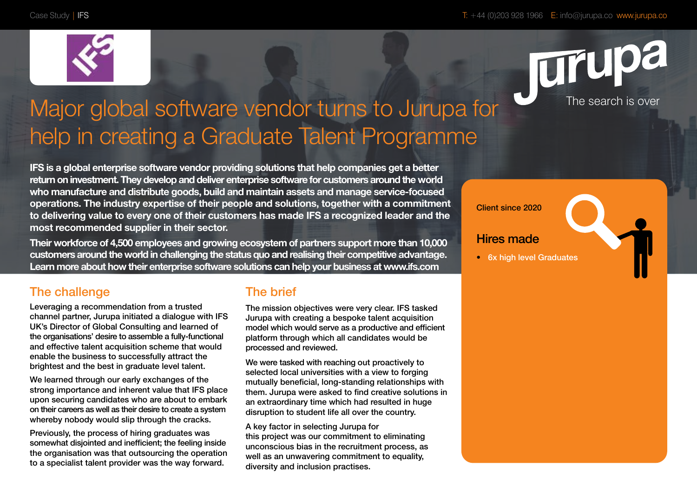



# Major global software vendor turns to Jurupa for help in creating a Graduate Talent Programme

**IFS is a global enterprise software vendor providing solutions that help companies get a better return on investment. They develop and deliver enterprise software for customers around the world who manufacture and distribute goods, build and maintain assets and manage service-focused operations. The industry expertise of their people and solutions, together with a commitment to delivering value to every one of their customers has made IFS a recognized leader and the most recommended supplier in their sector.**

**Their workforce of 4,500 employees and growing ecosystem of partners support more than 10,000 customers around the world in challenging the status quo and realising their competitive advantage. Learn more about how their enterprise software solutions can help your business at www.ifs.com** 

#### Client since 2020

#### Hires made

• 6x high level Graduates

### The challenge

Leveraging a recommendation from a trusted channel partner, Jurupa initiated a dialogue with IFS UK's Director of Global Consulting and learned of the organisations' desire to assemble a fully-functional and effective talent acquisition scheme that would enable the business to successfully attract the brightest and the best in graduate level talent.

We learned through our early exchanges of the strong importance and inherent value that IFS place upon securing candidates who are about to embark on their careers as well as their desire to create a system whereby nobody would slip through the cracks.

Previously, the process of hiring graduates was somewhat disjointed and inefficient; the feeling inside the organisation was that outsourcing the operation to a specialist talent provider was the way forward.

#### The brief

The mission objectives were very clear. IFS tasked Jurupa with creating a bespoke talent acquisition model which would serve as a productive and efficient platform through which all candidates would be processed and reviewed.

We were tasked with reaching out proactively to selected local universities with a view to forging mutually beneficial, long-standing relationships with them. Jurupa were asked to find creative solutions in an extraordinary time which had resulted in huge disruption to student life all over the country.

A key factor in selecting Jurupa for this project was our commitment to eliminating unconscious bias in the recruitment process, as well as an unwavering commitment to equality, diversity and inclusion practises.